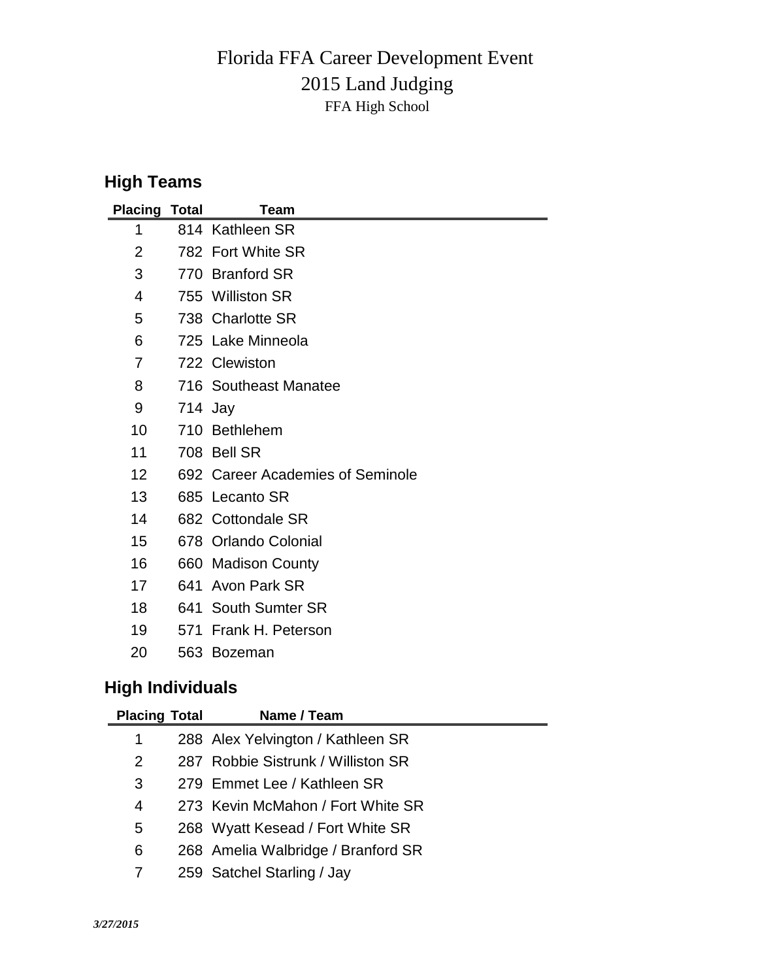## 2015 Land Judging Florida FFA Career Development Event FFA High School

## **High Teams**

| <b>Placing Total</b> |         | Team                             |
|----------------------|---------|----------------------------------|
| 1                    |         | 814 Kathleen SR                  |
| 2                    |         | 782 Fort White SR                |
| 3                    |         | 770 Branford SR                  |
| 4                    |         | 755 Williston SR                 |
| 5                    |         | 738 Charlotte SR                 |
| 6                    |         | 725 Lake Minneola                |
| 7                    |         | 722 Clewiston                    |
| 8                    |         | 716 Southeast Manatee            |
| 9                    | 714 Jay |                                  |
| 10                   |         | 710 Bethlehem                    |
| 11                   |         | 708 Bell SR                      |
| 12                   |         | 692 Career Academies of Seminole |
| 13                   |         | 685 Lecanto SR                   |
| 14                   |         | 682 Cottondale SR                |
| 15                   |         | 678 Orlando Colonial             |
| 16                   | 660     | <b>Madison County</b>            |
| 17                   | 641     | Avon Park SR                     |
| 18                   |         | 641 South Sumter SR              |
| 19                   | 571     | Frank H. Peterson                |
| 20                   |         | 563 Bozeman                      |

## **High Individuals**

| <b>Placing Total</b> | Name / Team                        |
|----------------------|------------------------------------|
| 1                    | 288 Alex Yelvington / Kathleen SR  |
| $\overline{2}$       | 287 Robbie Sistrunk / Williston SR |
| 3                    | 279 Emmet Lee / Kathleen SR        |
| 4                    | 273 Kevin McMahon / Fort White SR  |
| 5                    | 268 Wyatt Kesead / Fort White SR   |
| 6                    | 268 Amelia Walbridge / Branford SR |
|                      | 259 Satchel Starling / Jay         |
|                      |                                    |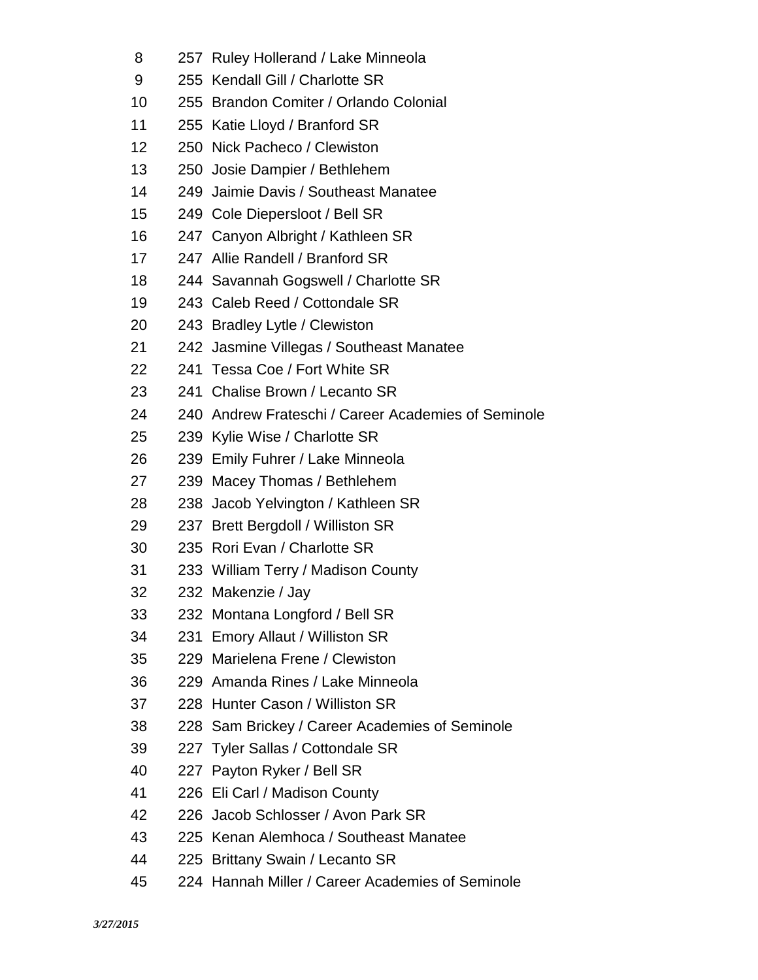- 257 Ruley Hollerand / Lake Minneola
- 255 Kendall Gill / Charlotte SR
- 255 Brandon Comiter / Orlando Colonial
- 255 Katie Lloyd / Branford SR
- 250 Nick Pacheco / Clewiston
- 250 Josie Dampier / Bethlehem
- 249 Jaimie Davis / Southeast Manatee
- 249 Cole Diepersloot / Bell SR
- 247 Canyon Albright / Kathleen SR
- 247 Allie Randell / Branford SR
- 244 Savannah Gogswell / Charlotte SR
- 243 Caleb Reed / Cottondale SR
- 243 Bradley Lytle / Clewiston
- 242 Jasmine Villegas / Southeast Manatee
- 241 Tessa Coe / Fort White SR
- 241 Chalise Brown / Lecanto SR
- 240 Andrew Frateschi / Career Academies of Seminole
- 239 Kylie Wise / Charlotte SR
- 239 Emily Fuhrer / Lake Minneola
- 239 Macey Thomas / Bethlehem
- 238 Jacob Yelvington / Kathleen SR
- 237 Brett Bergdoll / Williston SR
- 235 Rori Evan / Charlotte SR
- 233 William Terry / Madison County
- 232 Makenzie / Jay
- 232 Montana Longford / Bell SR
- 231 Emory Allaut / Williston SR
- 229 Marielena Frene / Clewiston
- 229 Amanda Rines / Lake Minneola
- 228 Hunter Cason / Williston SR
- 228 Sam Brickey / Career Academies of Seminole
- 227 Tyler Sallas / Cottondale SR
- 227 Payton Ryker / Bell SR
- 226 Eli Carl / Madison County
- 226 Jacob Schlosser / Avon Park SR
- 225 Kenan Alemhoca / Southeast Manatee
- 225 Brittany Swain / Lecanto SR
- 224 Hannah Miller / Career Academies of Seminole